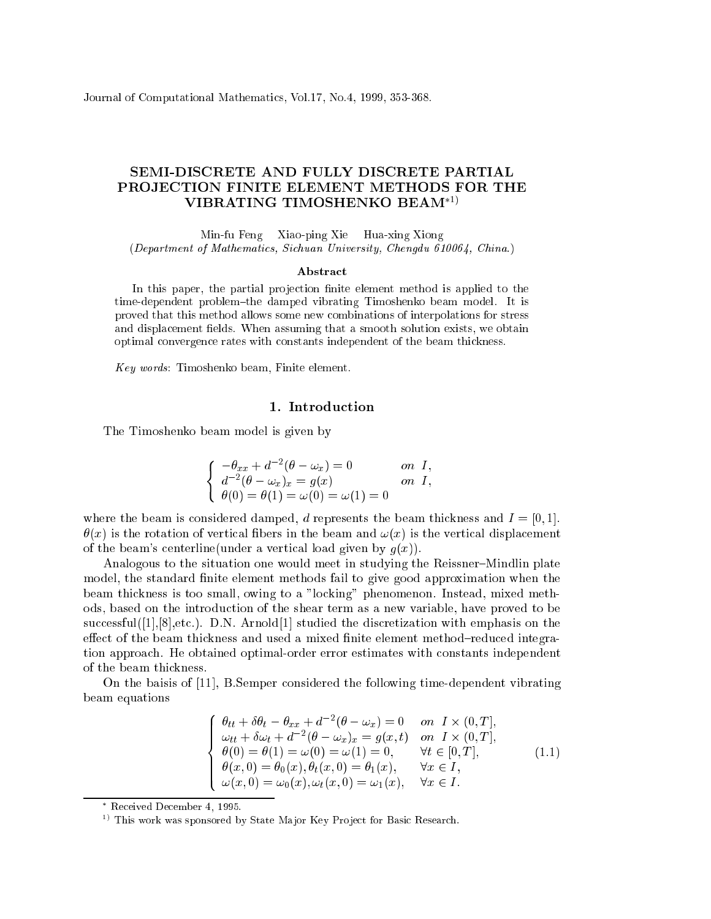Journal of Computational Mathemati
s, Vol.17, No.4, 1999, 353-368.

# SEMI-DISCRETE AND FULLY DISCRETE PARTIAL PROJECTION FINITE ELEMENT METHODS FOR THE VIBRATING TIMOSHENKO BEAM<sup>\*1)</sup>

Min-fu Feng Xiao-ping Xie Hua-xing Xiong (Department of Mathemati
s, Si
huan University, Chengdu 610064, China.)

#### Abstra
t

In this paper, the partial projection finite element method is applied to the time-dependent problem-the damped vibrating Timoshenko beam model. It is proved that this method allows some new ombinations of interpolations for stress and displacement fields. When assuming that a smooth solution exists, we obtain optimal onvergen
e rates with onstants independent of the beam thi
kness.

Key words: Timoshenko beam, Finite element.

### 1. Introdu
tion

The Timoshenko beam model is given by

$$
\begin{cases}\n-\theta_{xx} + d^{-2}(\theta - \omega_x) = 0 & \text{on } I, \\
d^{-2}(\theta - \omega_x)_x = g(x) & \text{on } I, \\
\theta(0) = \theta(1) = \omega(0) = \omega(1) = 0\n\end{cases}
$$

where the beam is considered damped, d represents the beam thickness and  $I = [0, 1]$ .  $\theta(x)$  is the rotation of vertical fibers in the beam and  $\omega(x)$  is the vertical displacement of the beam's centerline(under a vertical load given by  $g(x)$ ).

Analogous to the situation one would meet in studying the Reissner-Mindlin plate model, the standard finite element methods fail to give good approximation when the beam thi
kness is too small, owing to a "lo
king" phenomenon. Instead, mixed methods, based on the introdu
tion of the shear term as a new variable, have proved to be  $successful([1], [8], etc.).$  D.N. Arnold [1] studied the discretization with emphasis on the effect of the beam thickness and used a mixed finite element method-reduced integration approa
h. He obtained optimal-order error estimates with onstants independent of the beam thi
kness.

On the baisis of  $[11]$ , B.Semper considered the following time-dependent vibrating beam equations

$$
\begin{cases}\n\theta_{tt} + \delta \theta_t - \theta_{xx} + d^{-2} (\theta - \omega_x) = 0 & \text{on } I \times (0, T], \\
\omega_{tt} + \delta \omega_t + d^{-2} (\theta - \omega_x)_x = g(x, t) & \text{on } I \times (0, T], \\
\theta(0) = \theta(1) = \omega(0) = \omega(1) = 0, & \forall t \in [0, T], \\
\theta(x, 0) = \theta_0(x), \theta_t(x, 0) = \theta_1(x), & \forall x \in I, \\
\omega(x, 0) = \omega_0(x), \omega_t(x, 0) = \omega_1(x), & \forall x \in I.\n\end{cases}
$$
\n(1.1)

Re
eived De
ember 4, 1995.

<sup>&</sup>lt;sup>1)</sup> This work was sponsored by State Major Key Project for Basic Research.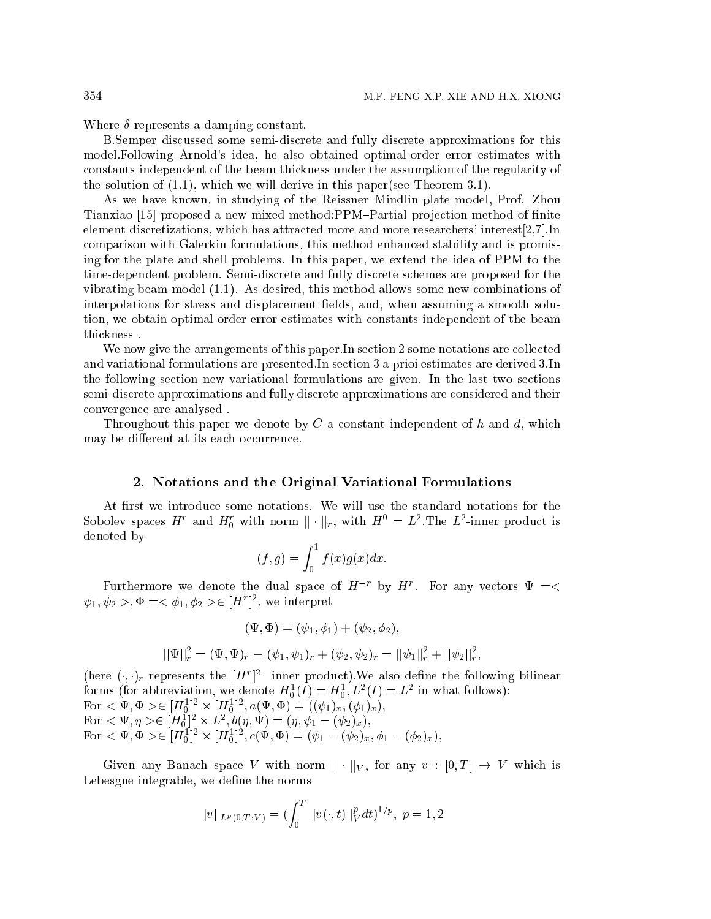Where  $\delta$  represents a damping constant.

B.Semper dis
ussed some semi-dis
rete and fully dis
rete approximations for this model.Following Arnold's idea, he also obtained optimal-order error estimates with onstants independent of the beam thi
kness under the assumption of the regularity of the solution of  $(1.1)$ , which we will derive in this paper(see Theorem 3.1).

As we have known, in studying of the Reissner–Mindlin plate model, Prof. Zhou Tianxiao [15] proposed a new mixed method: PPM-Partial projection method of finite element discretizations, which has attracted more and more researchers' interest $[2,7]$ . In omparison with Galerkin formulations, this method enhan
ed stability and is promising for the plate and shell problems. In this paper, we extend the idea of PPM to the time-dependent problem. Semi-dis
rete and fully dis
rete s
hemes are proposed for the vibrating beam model (1.1). As desired, this method allows some new ombinations of interpolations for stress and displacement fields, and, when assuming a smooth solution, we obtain optimal-order error estimates with onstants independent of the beam thi
kness .

We now give the arrangements of this paper.In section 2 some notations are collected and variational formulations are presented.In se
tion 3 a prioi estimates are derived 3.In the following se
tion new variational formulations are given. In the last two se
tions semi-dis
rete approximations and fully dis
rete approximations are onsidered and their onvergen
e are analysed .

Throughout this paper we denote by  $C$  a constant independent of  $h$  and  $d$ , which may be different at its each occurrence.

### 2. Notations and the Original Variational Formulations

At first we introduce some notations. We will use the standard notations for the Sobolev spaces  $H^r$  and  $H_0^r$  with norm  $||\cdot||_r$ , with  $H^0 = L^2$ . The  $L^2$ -inner product is denoted by

$$
(f,g) = \int_0^1 f(x)g(x)dx.
$$

Furthermore we denote the dual space of  $H^{-r}$  by  $H^r$ . For any vectors  $\Psi = \lt$  $\psi_1, \psi_2 > \Phi = \langle \phi_1, \phi_2 \rangle \in [H^r]^2$ , we interpret

$$
(\Psi, \Phi) = (\psi_1, \phi_1) + (\psi_2, \phi_2),
$$

$$
||\Psi||_r^2 = (\Psi, \Psi)_r \equiv (\psi_1, \psi_1)_r + (\psi_2, \psi_2)_r = ||\psi_1||_r^2 + ||\psi_2||_r^2,
$$

(here  $(\cdot, \cdot)_r$  represents the  $|H^r|^2$ -inner product). We also define the following bilinear forms (for abbreviation, we denote  $H_0^{\circ}(I) = H_0^{\circ}, L^{\circ}(I) = L^{\circ}$  in what follows):  $\Gamma$ OT  $\leq \Psi$ ,  $\Psi \geq \in [H_0] \times [H_0]$ ,  $a(\Psi, \Psi) \equiv ((\psi_1)_x, (\psi_1)_x)$  $\Gamma$ Or  $\leq \Psi, \eta > \in [H_0^-]^{-} \times L^{-}, 0(\eta, \Psi) = (\eta, \psi_1 - (\psi_2)_x),$ For  $\langle \Psi, \Psi \rangle \in [H_0^-]^{-} \times [H_0^-]^{-}$ ,  $c(\Psi, \Psi) \equiv (\psi_1 - (\psi_2)_x, \psi_1 - (\psi_2)_x),$ 

Given any Banach space V with norm  $||\cdot||_V$ , for any  $v : [0,T] \to V$  which is Lebesgue integrable, we define the norms

$$
||v||_{L^p(0,T;V)} = (\int_0^T ||v(\cdot,t)||_V^p dt)^{1/p}, \ p = 1,2
$$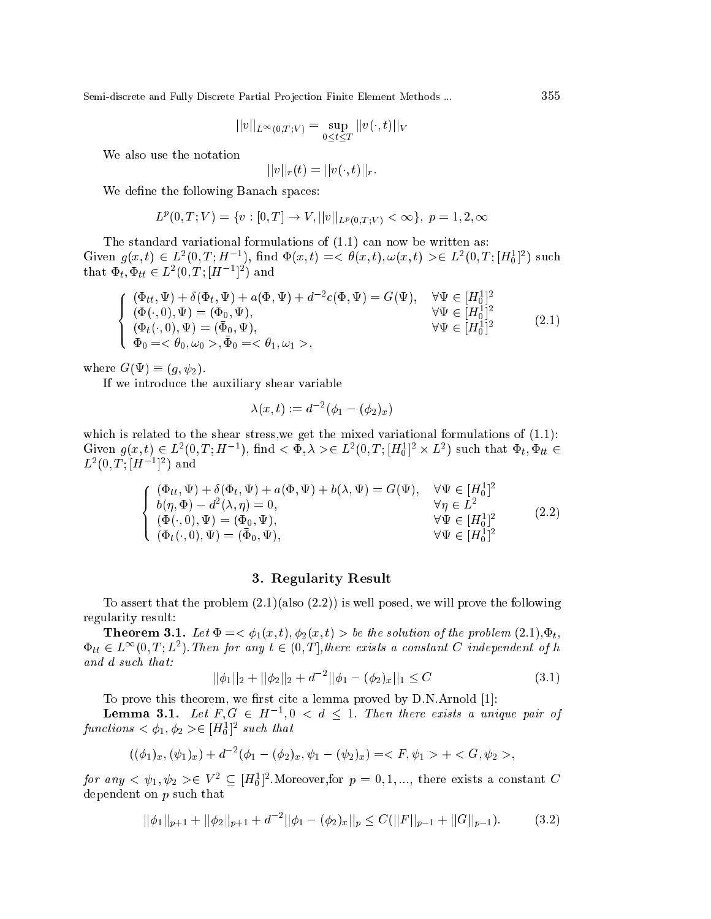$$
||v||_{L^{\infty}(0,T;V)} = \sup_{0 \leq t \leq T} ||v(\cdot,t)||_V
$$

We also use the notation

$$
|v||_r(t) = ||v(\cdot,t)||_r.
$$

We define the following Banach spaces:

$$
L^{p}(0,T;V) = \{v : [0,T] \to V, ||v||_{L^{p}(0,T;V)} < \infty\}, \ p = 1,2,\infty
$$

The standard variational formulations of  $(1.1)$  can now be written as: Given  $g(x,t) \in L^2(0,T;H^{-1})$ , find  $\Phi(x,t) = \langle \theta(x,t), \omega(x,t) \rangle \in L^2(0,T;[H_0^1]^2)$  such that  $\Phi_t, \Phi_{tt} \in L^2(0, T; [H^{-1}]^2)$  and

$$
\begin{cases}\n(\Phi_{tt}, \Psi) + \delta(\Phi_t, \Psi) + a(\Phi, \Psi) + d^{-2}c(\Phi, \Psi) = G(\Psi), & \forall \Psi \in [H_0^1]^2 \\
(\Phi(\cdot, 0), \Psi) = (\Phi_0, \Psi), & \forall \Psi \in [H_0^1]^2 \\
(\Phi_t(\cdot, 0), \Psi) = (\bar{\Phi}_0, \Psi), & \forall \Psi \in [H_0^1]^2 \\
\Phi_0 = \langle \theta_0, \omega_0 \rangle, \bar{\Phi}_0 = \langle \theta_1, \omega_1 \rangle,\n\end{cases}
$$
\n(2.1)

where  $G(\Psi) \equiv (q, \psi_2)$ .

If we introduce the auxiliary shear variable

$$
\lambda(x,t):=d^{-2}(\phi_1-(\phi_2)_x)
$$

which is related to the shear stress, we get the mixed variational formulations of  $(1.1)$ : Given  $g(x, t) \in L^2(0, T; H^{-1})$ , find  $\lt \phi$ ,  $\lambda > \in L^2(0, T; [H_0^1]^2 \times L^2)$  such that  $\Phi_t, \Phi_{tt} \in L^2(0, T; [H^{-1}]^2)$  and

$$
\begin{cases}\n(\Phi_{tt}, \Psi) + \delta(\Phi_t, \Psi) + a(\Phi, \Psi) + b(\lambda, \Psi) = G(\Psi), & \forall \Psi \in [H_0^1]^2 \\
b(\eta, \Phi) - d^2(\lambda, \eta) = 0, & \forall \eta \in L^2 \\
(\Phi(\cdot, 0), \Psi) = (\Phi_0, \Psi), & \forall \Psi \in [H_0^1]^2 \\
(\Phi_t(\cdot, 0), \Psi) = (\bar{\Phi}_0, \Psi), & \forall \Psi \in [H_0^1]^2\n\end{cases}
$$
\n(2.2)

## 3. Regularity Result

To assert that the problem  $(2.1)($ also  $(2.2))$  is well posed, we will prove the following regularity result:

**Theorem 3.1.** Let  $\Phi = \langle \phi_1(x,t), \phi_2(x,t) \rangle$  be the solution of the problem  $(2.1), \Phi_t$ ,  $\Phi_{tt} \in L^{\infty}(0,T; L^2)$ . Then for any  $t \in (0,T]$ , there exists a constant C independent of h  $and d such that:$ 

$$
||\phi_1||_2 + ||\phi_2||_2 + d^{-2}||\phi_1 - (\phi_2)_x||_1 \le C \tag{3.1}
$$

To prove this theorem, we first cite a lemma proved by D.N.Arnold [1]:

**Lemma 3.1.** Let  $F, G \in H^{-1}, 0 < d \le 1$ . Then there exists a unique pair of functions  $\langle \phi_1, \phi_2 \rangle \in [H_0^1]^2$  such that

$$
((\phi_1)_x, (\psi_1)_x) + d^{-2}(\phi_1 - (\phi_2)_x, \psi_1 - (\psi_2)_x) = \langle F, \psi_1 \rangle + \langle G, \psi_2 \rangle,
$$

for any  $\langle \psi_1, \psi_2 \rangle \in V^2 \subseteq [H_0^1]^2$ . Moreover, for  $p = 0, 1, \dots$ , there exists a constant C dependent on  $p$  such that

$$
||\phi_1||_{p+1} + ||\phi_2||_{p+1} + d^{-2}||\phi_1 - (\phi_2)_x||_p \le C(||F||_{p-1} + ||G||_{p-1}).
$$
 (3.2)

355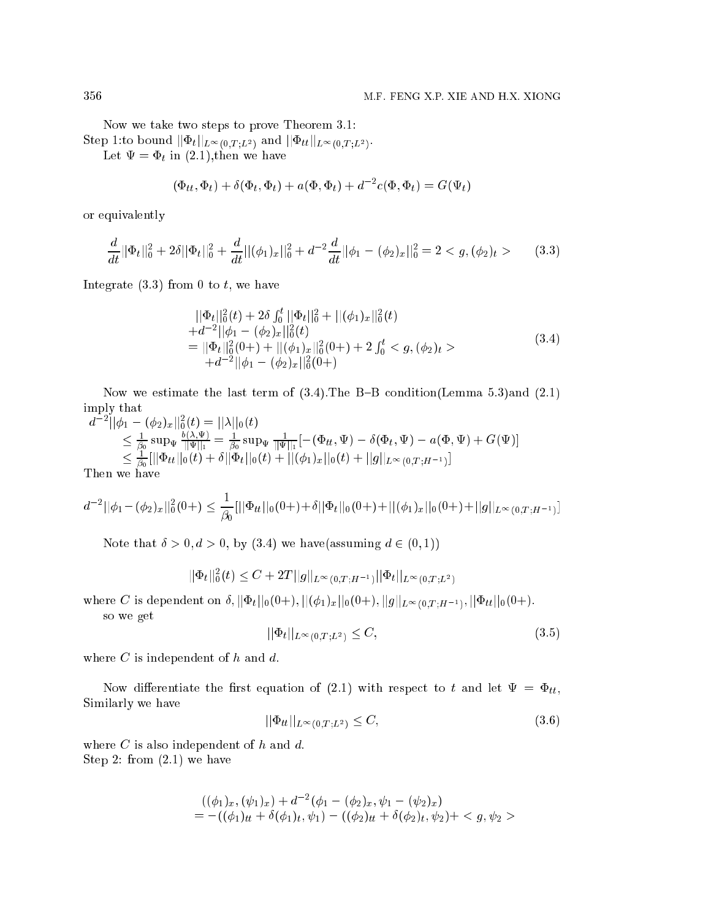Now we take two steps to prove Theorem 3.1:  $\mathcal{S}$ tep 1.to bound  $||\Psi_t||_{L^{\infty}(0,T;L^2)}$  and  $||\Psi_{tt}||_{L^{\infty}(0,T;L^2)}$ .

Let  $\Psi = \Phi_t$  in (2.1), then we have

$$
(\Phi_{tt}, \Phi_t) + \delta(\Phi_t, \Phi_t) + a(\Phi, \Phi_t) + d^{-2}c(\Phi, \Phi_t) = G(\Psi_t)
$$

or equivalently

$$
\frac{d}{dt}||\Phi_t||_0^2 + 2\delta||\Phi_t||_0^2 + \frac{d}{dt}||(\phi_1)_x||_0^2 + d^{-2}\frac{d}{dt}||\phi_1 - (\phi_2)_x||_0^2 = 2 < g, (\phi_2)_t > \tag{3.3}
$$

Integrate  $(3.3)$  from 0 to t, we have

$$
\begin{aligned}\n&||\Phi_t||_0^2(t) + 2\delta \int_0^t ||\Phi_t||_0^2 + ||(\phi_1)_x||_0^2(t) \\
&+ d^{-2}||\phi_1 - (\phi_2)_x||_0^2(t) \\
&= ||\Phi_t||_0^2(0+) + ||(\phi_1)_x||_0^2(0+) + 2 \int_0^t < g, (\phi_2)_t > \\
&+ d^{-2}||\phi_1 - (\phi_2)_x||_0^2(0+) \end{aligned} \tag{3.4}
$$

Now we estimate the last term of  $(3.4)$ . The B-B condition(Lemma 5.3)and  $(2.1)$ imply that  $\sim$ 

$$
d^{-2}||\phi_1 - (\phi_2)_x||_0^2(t) = ||\lambda||_0(t)
$$
  
\n
$$
\leq \frac{1}{\beta_0} \sup_{\Psi} \frac{b(\lambda, \Psi)}{||\Psi||_1} = \frac{1}{\beta_0} \sup_{\Psi} \frac{1}{||\Psi||_1} [-(\Phi_{tt}, \Psi) - \delta(\Phi_t, \Psi) - a(\Phi, \Psi) + G(\Psi)]
$$
  
\n
$$
\leq \frac{1}{\beta_0} [||\Phi_{tt}||_0(t) + \delta||\Phi_t||_0(t) + ||(\phi_1)_x||_0(t) + ||g||_{L^{\infty}(0,T;H^{-1})}]
$$
  
\nThen we have

 $\mathbf{r}$ 

$$
d^{-2}||\phi_1 - (\phi_2)_x||_0^2(0+) \leq \frac{1}{\beta_0} [||\Phi_{tt}||_0(0+) + \delta||\Phi_t||_0(0+) + ||(\phi_1)_x||_0(0+) + ||g||_{L^{\infty}(0,T;H^{-1})}]
$$

Note that  $\delta > 0, d > 0$ , by (3.4) we have(assuming  $d \in (0, 1)$ )

$$
||\Phi_t||_0^2(t) \le C + 2T||g||_{L^{\infty}(0,T;H^{-1})}||\Phi_t||_{L^{\infty}(0,T;L^2)}
$$

where C is dependent on  $\theta$ ,  $||\Psi_t||0(0+), ||(\Psi_1)_x||0(0+), ||g||_L^{\infty}(0,T;H^{-1}), ||\Psi_t||0(0+).$ 

so we get

$$
||\Phi_t||_{L^{\infty}(0,T;L^2)} \leq C,\t\t(3.5)
$$

where  $C$  is independent of  $h$  and  $d$ .

Now differentiate the first equation of (2.1) with respect to t and let  $\Psi = \Phi_{tt}$ , Similarly we have

$$
||\Phi_{tt}||_{L^{\infty}(0,T;L^2)} \leq C,
$$
\n(3.6)

where  $C$  is also independent of  $h$  and  $d$ . Step 2: from (2.1) we have

$$
((\phi_1)_x, (\psi_1)_x) + d^{-2}(\phi_1 - (\phi_2)_x, \psi_1 - (\psi_2)_x)
$$
  
= -((\phi\_1)\_tt + \delta(\phi\_1)\_t, \psi\_1) - ((\phi\_2)\_tt + \delta(\phi\_2)\_t, \psi\_2) +  $g, \psi_2 >$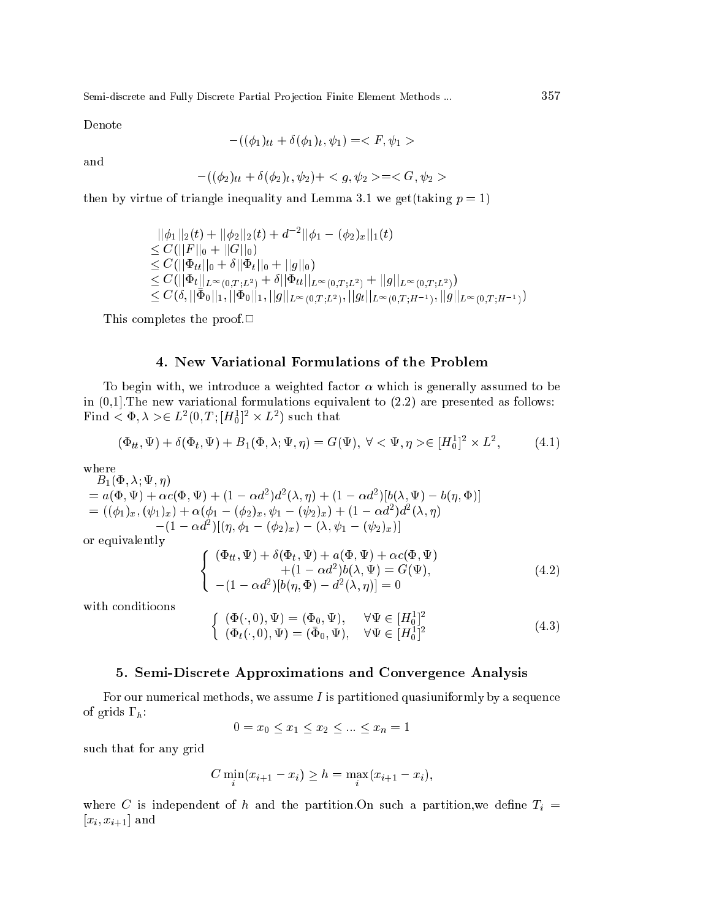Denote

$$
-((\phi_1)_{tt} + \delta(\phi_1)_t, \psi_1) = \langle F, \psi_1 \rangle
$$

and

$$
-((\phi_2)_{tt} + \delta(\phi_2)_t, \psi_2) + \langle g, \psi_2 \rangle = \langle G, \psi_2 \rangle
$$

then by virtue of triangle inequality and Lemma 3.1 we get(taking  $p = 1$ )

$$
\begin{aligned}\n&||\phi_1||_2(t) + ||\phi_2||_2(t) + d^{-2}||\phi_1 - (\phi_2)_x||_1(t) \\
&\leq C(||F||_0 + ||G||_0) \\
&\leq C(||\Phi_{tt}||_0 + \delta||\Phi_t||_0 + ||g||_0) \\
&\leq C(||\Phi_t||_{L^{\infty}(0,T;L^2)} + \delta||\Phi_{tt}||_{L^{\infty}(0,T;L^2)} + ||g||_{L^{\infty}(0,T;L^2)}) \\
&\leq C(\delta, ||\bar{\Phi}_0||_1, ||\bar{\Phi}_0||_1, ||g||_{L^{\infty}(0,T;L^2)}, ||g_t||_{L^{\infty}(0,T;H^{-1})}, ||g||_{L^{\infty}(0,T;H^{-1})})\n\end{aligned}
$$

This completes the proof. $\Box$ 

### 4. New Variational Formulations of the Problem

To begin with, we introduce a weighted factor  $\alpha$  which is generally assumed to be in  $(0,1]$ . The new variational formulations equivalent to  $(2.2)$  are presented as follows:  $\texttt{r}$  ma  $<\Psi, \land>\in L^-(0,1\,;[H_0^-]\times L^-)$  such that

$$
(\Phi_{tt}, \Psi) + \delta(\Phi_t, \Psi) + B_1(\Phi, \lambda; \Psi, \eta) = G(\Psi), \ \forall \langle \Psi, \eta \rangle \in [H_0^1]^2 \times L^2,
$$
\n(4.1)

 $-1$ ,  $-1$ ,  $-1$ ,  $-1$ ,  $-1$  $\mathcal{L} = a(\Psi, \Psi) + \alpha c(\Psi, \Psi) + (1 - \alpha a^{-1})a^{-1}(\lambda, \eta) + (1 - \alpha a^{-1})b(\lambda, \Psi) - b(\eta, \Psi)$  $= ((\varphi_1)_x, (\psi_1)_x) + \alpha (\varphi_1 - (\varphi_2)_x, \psi_1 - (\psi_2)_x) + (1 - \alpha a) a (\lambda, \eta)$  $(-1 - \alpha a)$   $(\eta, \varphi_1 - (\varphi_2)_x) - (\lambda, \psi_1 - (\psi_2)_x)$ 

or equivalently

$$
\begin{cases}\n(\Phi_{tt}, \Psi) + \delta(\Phi_t, \Psi) + a(\Phi, \Psi) + \alpha c(\Phi, \Psi) \\
+ (1 - \alpha d^2) b(\lambda, \Psi) = G(\Psi), \\
-(1 - \alpha d^2)[b(\eta, \Phi) - d^2(\lambda, \eta)] = 0\n\end{cases}
$$
\n(4.2)

with onditioons

$$
\begin{cases}\n(\Phi(\cdot,0),\Psi) = (\Phi_0,\Psi), & \forall \Psi \in [H_0^1]^2 \\
(\Phi_t(\cdot,0),\Psi) = (\bar{\Phi}_0,\Psi), & \forall \Psi \in [H_0^1]^2\n\end{cases}
$$
\n(4.3)

#### 5. Semi-Dis
rete Approximations and Convergen
e Analysis

For our numerical methods, we assume  $I$  is partitioned quasiuniformly by a sequence of grids  $\Gamma_h$ :

 $0 = x_0 \leq x_1 \leq x_2 \leq \ldots \leq x_n = 1$ 

su
h that for any grid

$$
C\min_{i}(x_{i+1} - x_i) \geq h = \max_{i}(x_{i+1} - x_i),
$$

where C is independent of h and the partition. On such a partition, we define  $T_i$  =  $[x_i, x_{i+1}]$  and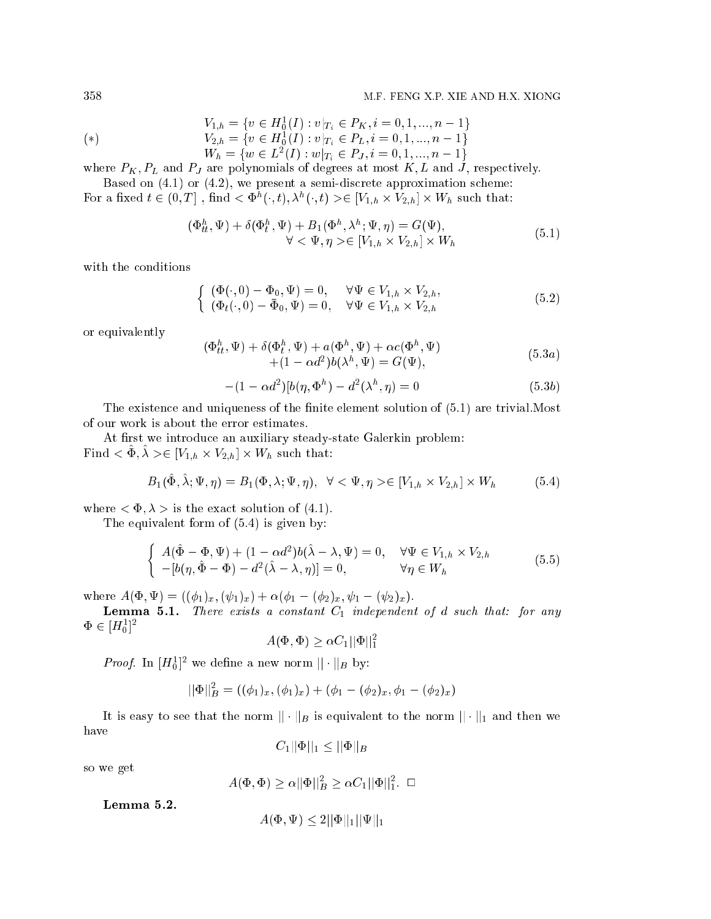$$
V_{1,h} = \{ v \in H_0^1(I) : v|_{T_i} \in P_K, i = 0, 1, ..., n-1 \}
$$
  
\n
$$
V_{2,h} = \{ v \in H_0^1(I) : v|_{T_i} \in P_L, i = 0, 1, ..., n-1 \}
$$
  
\n
$$
W_h = \{ w \in L^2(I) : w|_{T_i} \in P_J, i = 0, 1, ..., n-1 \}
$$

where  $F_K$ ,  $F_L$  and  $F_J$  are polynomials of degrees at most  $K, L$  and  $J$ , respectively. Based on  $(4.1)$  or  $(4.2)$ , we present a semi-discrete approximation scheme:

For a fixed  $t \in (0,T]$  , find  $\langle \Phi^h(\cdot,t), \lambda^h(\cdot,t) \rangle \in [V_{1,h} \times V_{2,h}] \times W_h$  such that:

$$
(\Phi_{tt}^h, \Psi) + \delta(\Phi_t^h, \Psi) + B_1(\Phi^h, \lambda^h; \Psi, \eta) = G(\Psi),
$$
  

$$
\forall < \Psi, \eta > \in [V_{1,h} \times V_{2,h}] \times W_h
$$
 (5.1)

with the conditions

$$
\begin{cases}\n(\Phi(\cdot,0) - \Phi_0, \Psi) = 0, & \forall \Psi \in V_{1,h} \times V_{2,h}, \\
(\Phi_t(\cdot,0) - \bar{\Phi}_0, \Psi) = 0, & \forall \Psi \in V_{1,h} \times V_{2,h}\n\end{cases}
$$
\n(5.2)

or equivalently

$$
(\Phi_{tt}^h, \Psi) + \delta(\Phi_t^h, \Psi) + a(\Phi^h, \Psi) + \alpha c(\Phi^h, \Psi)
$$
  
 
$$
+ (1 - \alpha d^2)b(\lambda^h, \Psi) = G(\Psi),
$$
 (5.3*a*)

$$
-(1 - \alpha d^2)[b(\eta, \Phi^h) - d^2(\lambda^h, \eta)] = 0
$$
\n(5.3*b*)

The existence and uniqueness of the finite element solution of  $(5.1)$  are trivial. Most of our work is about the error estimates.

At first we introduce an auxiliary steady-state Galerkin problem:  $\mathbf{r}$  mu  $\leq \Psi, \lambda \geq \in [V_{1,h} \times V_{2,h}] \times W_h$  such that:

$$
B_1(\hat{\Phi}, \hat{\lambda}; \Psi, \eta) = B_1(\Phi, \lambda; \Psi, \eta), \quad \forall \langle \Psi, \eta \rangle \in [V_{1,h} \times V_{2,h}] \times W_h \tag{5.4}
$$

where  $\langle \Phi, \lambda \rangle$  is the exact solution of (4.1).

The equivalent form of (5.4) is given by:

$$
\begin{cases}\nA(\hat{\Phi} - \Phi, \Psi) + (1 - \alpha d^2)b(\hat{\lambda} - \lambda, \Psi) = 0, & \forall \Psi \in V_{1,h} \times V_{2,h} \\
-[b(\eta, \hat{\Phi} - \Phi) - d^2(\hat{\lambda} - \lambda, \eta)] = 0, & \forall \eta \in W_h\n\end{cases}
$$
\n(5.5)

where  $A(\Phi, \Psi) = ((\phi_1)_x, (\psi_1)_x) + \alpha(\phi_1 - (\phi_2)_x, \psi_1 - (\psi_2)_x).$ 

**Lemma 5.1.** There exists a constant  $C_1$  independent of  $d$  such that: for any  $\Psi \in [H_0]$ 

$$
A(\Phi, \Phi) \ge \alpha C_1 ||\Phi||_1^2
$$

*Proof.* In  $[H_0]$  we define a new norm  $|| \cdot ||_B$  by:

$$
||\Phi||_B^2 = ((\phi_1)_x, (\phi_1)_x) + (\phi_1 - (\phi_2)_x, \phi_1 - (\phi_2)_x)
$$

It is easy to see that the norm  $|| \cdot ||_B$  is equivalent to the norm  $|| \cdot ||_1$  and then we have

$$
C_1||\Phi||_1 \leq ||\Phi||_B
$$

so we get

$$
A(\Phi, \Phi) \ge \alpha ||\Phi||_B^2 \ge \alpha C_1 ||\Phi||_1^2. \quad \Box
$$

Lemma 5.2.

$$
A(\Phi, \Psi) \le 2||\Phi||_1 ||\Psi||_1
$$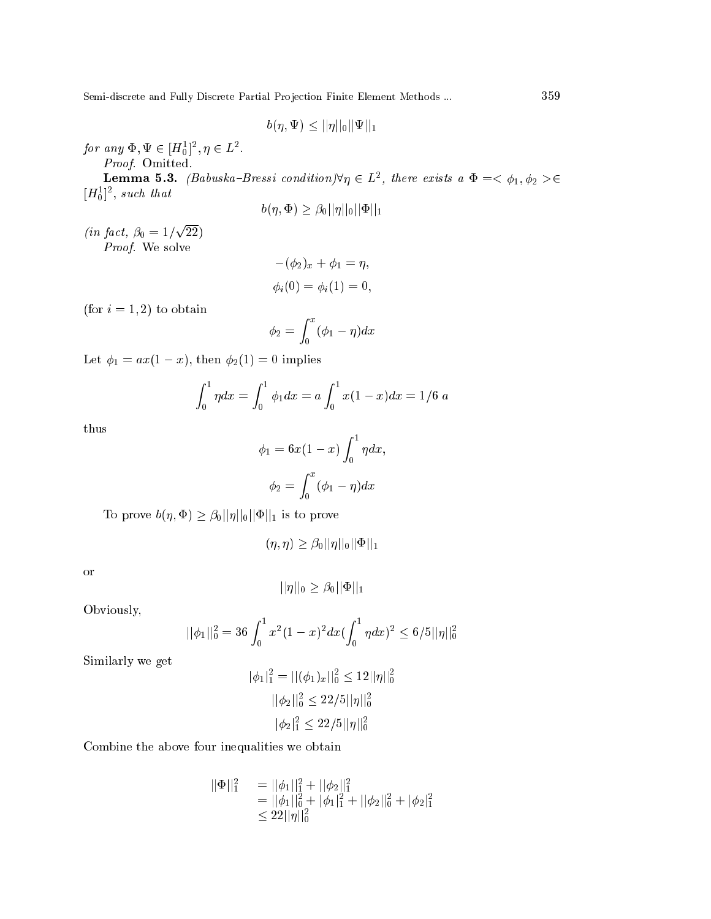$$
b(\eta,\Psi)\leq ||\eta||_0||\Psi||_1
$$

for any  $\Psi, \Psi \in [H_0^-], \eta \in L^-.$ 

Proof. Omitted.

**Lemma 5.3.** (Babuska-Bressi condition) $\nabla \eta \in L^2$ , there exists a  $\Psi = \langle \varphi_1, \varphi_2 \rangle \in L^2$  $[H<sub>0</sub>]$ , such that

$$
b(\eta,\Phi)\geq\beta_0||\eta||_0||\Phi||_1
$$

 $\mathbf{u}$  ,  $\mathbf{v}$  ,  $\mathbf{v}$ <u>para a para a para a para a para a para a para a para a para a para a para a para a para a para a para a para a para a para a para a para a para a para a para a para a para a para a para a para a para a para a para a para</u>  $\overline{\phantom{a}}$ Proof. We solve

$$
-(\phi_2)_x + \phi_1 = \eta,
$$
  

$$
\phi_i(0) = \phi_i(1) = 0,
$$

(for  $i = 1, 2$ ) to obtain

$$
\phi_2 = \int_0^x (\phi_1 - \eta) dx
$$

Let  $\phi_1 = ax(1-x)$ , then  $\phi_2(1) = 0$  implies

$$
\int_0^1 \eta dx = \int_0^1 \phi_1 dx = a \int_0^1 x(1-x) dx = 1/6 \ a
$$

thus

$$
\phi_1 = 6x(1-x)\int_0^1 \eta dx,
$$

$$
\phi_2 = \int_0^x (\phi_1 - \eta) dx
$$

To prove  $b(\eta, \Phi) \geq \beta_0 ||\eta||_0 ||\Phi||_1$  is to prove

$$
(\eta,\eta) \geq \beta_0 ||\eta||_0 ||\Phi||_1
$$

or

$$
||\eta||_0 \geq \beta_0 ||\Phi||_1
$$

Obviously,

$$
||\phi_1||_0^2 = 36 \int_0^1 x^2 (1-x)^2 dx (\int_0^1 \eta dx)^2 \le 6/5 ||\eta||_0^2
$$

Similarly we get

$$
|\phi_1|_1^2 = ||(\phi_1)_x||_0^2 \le 12||\eta||_0^2
$$
  

$$
||\phi_2||_0^2 \le 22/5||\eta||_0^2
$$
  

$$
|\phi_2|_1^2 \le 22/5||\eta||_0^2
$$

Combine the above four inequalities we obtain

$$
\begin{array}{ll}\n||\Phi||_1^2 & = ||\phi_1||_1^2 + ||\phi_2||_1^2 \\
& = ||\phi_1||_0^2 + |\phi_1|_1^2 + ||\phi_2||_0^2 + |\phi_2|_1^2 \\
& \leq 22||\eta||_0^2\n\end{array}
$$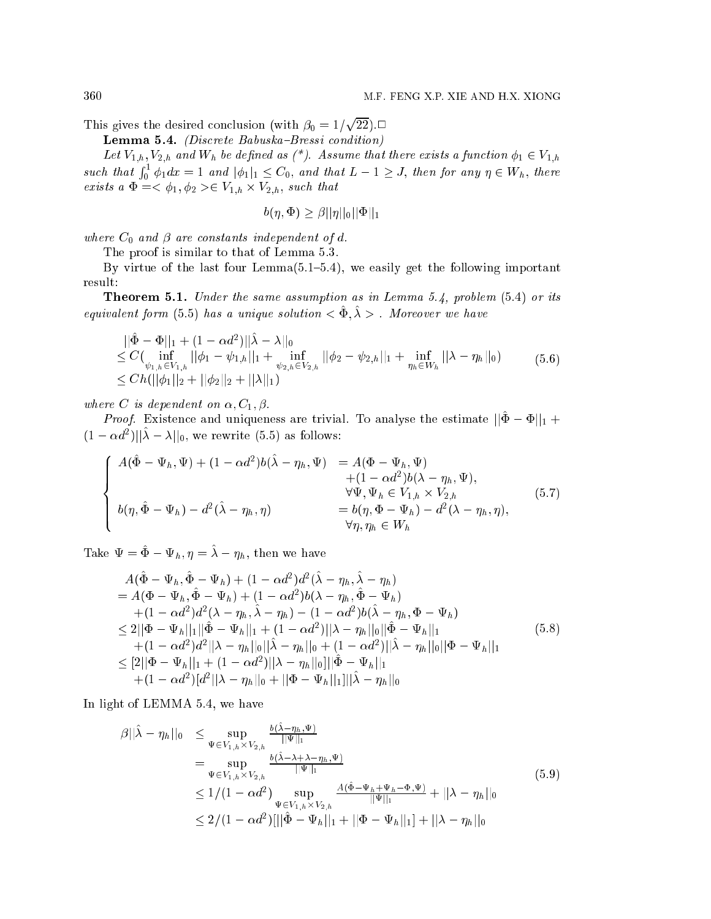This gives the desired on
lusion (with 0 <sup>=</sup> 1= <u>parameters</u> 22):2

**Lemma 5.4.** (Discrete Babuska-Bressi condition)

Let  $V_{1,h}$ ,  $V_{2,h}$  and  $W_h$  be defined as (\*). Assume that there exists a function  $\phi_1 \in V_{1,h}$ such that  $\int_0^1 \phi_1 dx = 1$  and  $|\phi_1|_1 \leq C_0$ , and that  $L - 1 \geq J$ , then for any  $\eta \in W_h$ , there exists a  $\Psi = \langle \varphi_1, \varphi_2 \rangle \in V_{1,h} \times V_{2,h}$ , such that

$$
b(\eta, \Phi) \geq \beta ||\eta||_0 ||\Phi||_1
$$

where  $C_0$  and  $\beta$  are constants independent of d.

The proof is similar to that of Lemma 5.3.

By virtue of the last four  $Lemma (5.1–5.4)$ , we easily get the following important result:

**Theorem 5.1.** Under the same assumption as in Lemma 5.4, problem  $(5.4)$  or its equivalent form (5.5) has a unique solution  $\leq$  .  $\varphi$  .  $\varDelta$  . Moreover we have

$$
\begin{aligned}\n&||\hat{\Phi} - \Phi||_1 + (1 - \alpha d^2) ||\hat{\lambda} - \lambda||_0 \\
&\leq C(\inf_{\psi_{1,h} \in V_{1,h}} ||\phi_1 - \psi_{1,h}||_1 + \inf_{\psi_{2,h} \in V_{2,h}} ||\phi_2 - \psi_{2,h}||_1 + \inf_{\eta_h \in W_h} ||\lambda - \eta_h||_0) \\
&\leq Ch(||\phi_1||_2 + ||\phi_2||_2 + ||\lambda||_1)\n\end{aligned} \tag{5.6}
$$

where C is dependent on  $\alpha, C_1, \beta$ .

*Proof.* Existence and uniqueness are trivial. To analyse the estimate  $||\hat{\Phi} - \Phi||_1 +$  $(1 - \alpha a)$  ||| $\lambda - \lambda$ ||0, we rewrite (5.5) as follows:

$$
\begin{cases}\nA(\hat{\Phi} - \Psi_h, \Psi) + (1 - \alpha d^2) b(\hat{\lambda} - \eta_h, \Psi) & = A(\Phi - \Psi_h, \Psi) \\
+ (1 - \alpha d^2) b(\lambda - \eta_h, \Psi), \\
\forall \Psi, \Psi_h \in V_{1,h} \times V_{2,h} \\
b(\eta, \hat{\Phi} - \Psi_h) - d^2(\hat{\lambda} - \eta_h, \eta) & \forall \eta, \eta_h \in W_h\n\end{cases} (5.7)
$$

Take  $\Psi = \hat{\Phi} - \Psi_h$ ,  $\eta = \hat{\lambda} - \eta_h$ , then we have

$$
A(\hat{\Phi} - \Psi_h, \hat{\Phi} - \Psi_h) + (1 - \alpha d^2) d^2 (\hat{\lambda} - \eta_h, \hat{\lambda} - \eta_h) = A(\Phi - \Psi_h, \hat{\Phi} - \Psi_h) + (1 - \alpha d^2) b(\lambda - \eta_h, \hat{\Phi} - \Psi_h) + (1 - \alpha d^2) d^2 (\lambda - \eta_h, \hat{\lambda} - \eta_h) - (1 - \alpha d^2) b(\hat{\lambda} - \eta_h, \Phi - \Psi_h) \leq 2||\Phi - \Psi_h||_1 ||\hat{\Phi} - \Psi_h||_1 + (1 - \alpha d^2) ||\lambda - \eta_h||_0 ||\hat{\Phi} - \Psi_h||_1 + (1 - \alpha d^2) d^2 ||\lambda - \eta_h||_0 ||\hat{\lambda} - \eta_h||_0 + (1 - \alpha d^2) ||\hat{\lambda} - \eta_h||_0 ||\Phi - \Psi_h||_1 \leq [2||\Phi - \Psi_h||_1 + (1 - \alpha d^2) ||\lambda - \eta_h||_0 ||\hat{\Phi} - \Psi_h||_1 + (1 - \alpha d^2) [d^2 ||\lambda - \eta_h||_0 + ||\Phi - \Psi_h||_1] ||\hat{\lambda} - \eta_h||_0
$$
\n(5.8)

In light of LEMMA 5.4, we have

$$
\beta ||\hat{\lambda} - \eta_h||_0 \leq \sup_{\Psi \in V_{1,h} \times V_{2,h}} \frac{\frac{b(\lambda - \eta_h, \Psi)}{||\Psi||_1}}{\frac{b(\hat{\lambda} - \lambda + \lambda - \eta_h, \Psi)}{||\Psi||_1}} \n= \sup_{\Psi \in V_{1,h} \times V_{2,h}} \frac{\frac{b(\hat{\lambda} - \lambda + \lambda - \eta_h, \Psi)}{||\Psi||_1}}{\frac{||\Psi||_1}{||\Psi||_1}} \n\leq 1/(1 - \alpha d^2) \sup_{\Psi \in V_{1,h} \times V_{2,h}} \frac{A(\hat{\Phi} - \Psi_h + \Psi_h - \Phi, \Psi)}{||\Psi||_1} + ||\lambda - \eta_h||_0 \n\leq 2/(1 - \alpha d^2) [||\hat{\Phi} - \Psi_h||_1 + ||\Phi - \Psi_h||_1] + ||\lambda - \eta_h||_0
$$
\n(5.9)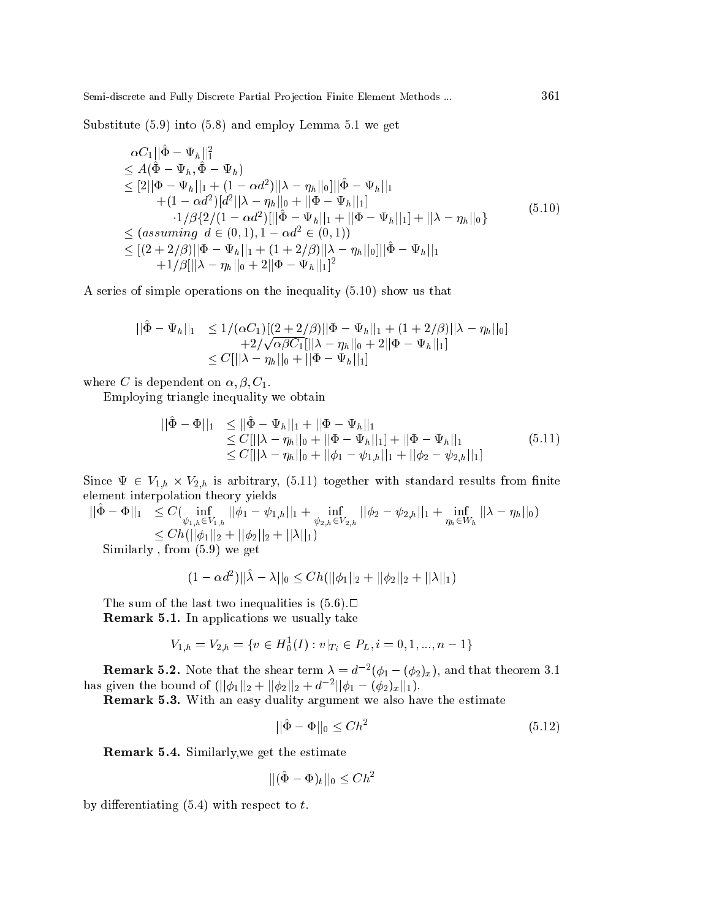Substitute (5.9) into (5.8) and employ Lemma 5.1 we get

$$
\alpha C_{1}||\tilde{\Phi} - \Psi_{h}||_{1}^{2}
$$
\n
$$
\leq A(\hat{\Phi} - \Psi_{h}, \hat{\Phi} - \Psi_{h})
$$
\n
$$
\leq [2||\Phi - \Psi_{h}||_{1} + (1 - \alpha d^{2})||\lambda - \eta_{h}||_{0}|||\hat{\Phi} - \Psi_{h}||_{1}
$$
\n
$$
+ (1 - \alpha d^{2})[d^{2}||\lambda - \eta_{h}||_{0} + ||\Phi - \Psi_{h}||_{1}]
$$
\n
$$
\cdot 1/\beta \{2/(1 - \alpha d^{2})[||\hat{\Phi} - \Psi_{h}||_{1} + ||\Phi - \Psi_{h}||_{1}] + ||\lambda - \eta_{h}||_{0}\}
$$
\n
$$
\leq (assuming \ d \in (0, 1), 1 - \alpha d^{2} \in (0, 1))
$$
\n
$$
\leq [(2 + 2/\beta)||\Phi - \Psi_{h}||_{1} + (1 + 2/\beta)||\lambda - \eta_{h}||_{0}]||\hat{\Phi} - \Psi_{h}||_{1}
$$
\n
$$
+1/\beta[||\lambda - \eta_{h}||_{0} + 2||\Phi - \Psi_{h}||_{1}]^{2}
$$
\n(5.10)

A series of simple operations on the inequality (5.10) show us that

$$
\begin{aligned} ||\hat{\Phi} - \Psi_h||_1 &\le 1/(\alpha C_1)[(2+2/\beta)||\Phi - \Psi_h||_1 + (1+2/\beta)||\lambda - \eta_h||_0] \\ &\quad + 2/\sqrt{\alpha\beta C_1}[||\lambda - \eta_h||_0 + 2||\Phi - \Psi_h||_1] \\ &\le C[||\lambda - \eta_h||_0 + ||\Phi - \Psi_h||_1] \end{aligned}
$$

where C is dependent on  $\alpha, \beta, C_1$ .

Employing triangle inequality we obtain

$$
\begin{aligned} ||\tilde{\Phi} - \Phi||_1 &\leq ||\tilde{\Phi} - \Psi_h||_1 + ||\Phi - \Psi_h||_1 \\ &\leq C[||\lambda - \eta_h||_0 + ||\Phi - \Psi_h||_1] + ||\Phi - \Psi_h||_1 \\ &\leq C[||\lambda - \eta_h||_0 + ||\phi_1 - \psi_{1,h}||_1 + ||\phi_2 - \psi_{2,h}||_1] \end{aligned} \tag{5.11}
$$

Since  $\Psi \in V_{1,h} \times V_{2,h}$  is arbitrary, (5.11) together with standard results from limite element interpolation theory yields

 $\| \Psi - \Psi \|_1 \leq C\left( \min_{\psi_{1,h}\in V_{1,h}} ||\varphi_1 - \psi_{1,h}||_1 + \min_{\psi_{2,h}\in V_{2,h}} ||\varphi_2 - \psi_{2,h}||_1 + \min_{\eta_h\in W_h} ||\lambda - \eta_h||_0 \right)$  $\frac{1}{2}$  =  $\frac{1}{2}$  ,  $\frac{1}{2}$   $\frac{1}{2}$   $\frac{1}{2}$   $\frac{1}{2}$   $\frac{1}{2}$   $\frac{1}{2}$   $\frac{1}{2}$   $\frac{1}{2}$   $\frac{1}{2}$   $\frac{1}{2}$   $\frac{1}{2}$   $\frac{1}{2}$   $\frac{1}{2}$   $\frac{1}{2}$   $\frac{1}{2}$   $\frac{1}{2}$   $\frac{1}{2}$   $\frac{1}{2}$   $\frac{1}{2}$   $\frac{1}{2$ Similarly , from (5.9) we get

$$
(1 - \alpha d^2) ||\hat{\lambda} - \lambda||_0 \leq Ch(||\phi_1||_2 + ||\phi_2||_2 + ||\lambda||_1)
$$

The sum of the last two inequalities is  $(5.6)$ . **Remark 5.1.** In applications we usually take

$$
V_{1,h} = V_{2,h} = \{ v \in H_0^1(I) : v|_{T_i} \in P_L, i = 0, 1, ..., n-1 \}
$$

**Remark 5.2.** Note that the shear term  $\lambda = a^{-1}(\varphi_1 - (\varphi_2)_x)$ , and that theorem 3.1 has given the bound of  $\frac{(|\varphi_1||_2 + |\varphi_2||_2 + a - ||\varphi_1 - (\varphi_2)_x||_1}{\varphi_1}$ .

Remark 5.3. With an easy duality argument we also have the estimate

$$
||\tilde{\Phi} - \Phi||_0 \le Ch^2 \tag{5.12}
$$

Remark 5.4. Similarly,we get the estimate

$$
||(\hat{\Phi} - \Phi)_t||_0 \le Ch^2
$$

by differentiating  $(5.4)$  with respect to t.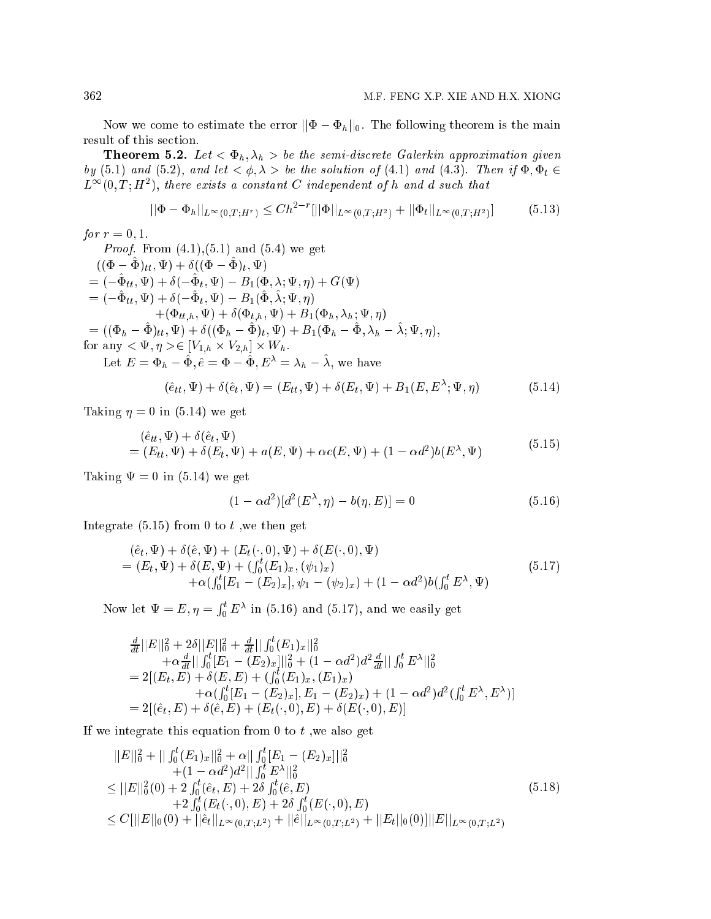Now we come to estimate the error  $||\Phi - \Phi_h||_0$ . The following theorem is the main result of this section.

**Theorem 5.2.** Let  $\langle \Phi_h, \lambda_h \rangle$  be the semi-discrete Galerkin approximation given by (5.1) and (5.2), and let  $\langle \phi, \lambda \rangle$  be the solution of (4.1) and (4.3). Then if  $\Phi, \Phi_t \in$  $L^{++}(0,1;H^-),$  there exists a constant  $\cup$  independent of h and a such that

$$
||\Phi - \Phi_h||_{L^{\infty}(0,T;H^r)} \le Ch^{2-r}[||\Phi||_{L^{\infty}(0,T;H^2)} + ||\Phi_t||_{L^{\infty}(0,T;H^2)}]
$$
(5.13)

*for*  $r = 0, 1$ . *Proof.* From  $(4.1), (5.1)$  and  $(5.4)$  we get  $((\Psi - \Psi)_{tt}, \Psi) \pm o((\Psi - \Psi)_{t}, \Psi)$  $t = (-\Psi_{tt}, \Psi) + o(-\Psi_t, \Psi) - D_1(\Psi, \Lambda, \Psi, \eta) + G(\Psi)$  $= (-\Psi_{tt}, \Psi) + o(-\Psi_t, \Psi) - D_1(\Psi, \lambda; \Psi, \eta)$  $+\left(\Psi_{tt,h},\Psi\right)+o(\Psi_{t,h},\Psi)+D_1(\Psi_h,\lambda_h;\Psi,\eta)$  $\mathcal{L} = ((\Psi_h - \Psi)_{tt}, \Psi) + o((\Psi_h - \Psi)_{t}, \Psi) + D_1(\Psi_h - \Psi, \lambda_h - \lambda, \Psi, \eta)),$ for any  $\langle \varPsi, \eta \rangle \in [V_1, h \times V_2, h] \times W_1$ . Let  $E = \Phi_h - \tilde{\Phi}, \hat{e} = \Phi - \tilde{\Phi}, E^{\lambda} = \lambda_h - \tilde{\lambda}$ , we have

$$
(\hat{e}_{tt}, \Psi) + \delta(\hat{e}_t, \Psi) = (E_{tt}, \Psi) + \delta(E_t, \Psi) + B_1(E, E^{\lambda}; \Psi, \eta)
$$
\n
$$
(5.14)
$$

Taking  $\eta = 0$  in (5.14) we get

$$
(\hat{e}_{tt}, \Psi) + \delta(\hat{e}_t, \Psi)
$$
  
=  $(E_{tt}, \Psi) + \delta(E_t, \Psi) + a(E, \Psi) + \alpha c(E, \Psi) + (1 - \alpha d^2)b(E^{\lambda}, \Psi)$  (5.15)

Taking  $\Psi = 0$  in (5.14) we get

$$
(1 - \alpha d^2)[d^2(E^{\lambda}, \eta) - b(\eta, E)] = 0 \tag{5.16}
$$

Integrate  $(5.15)$  from 0 to t, we then get

$$
(\hat{e}_t, \Psi) + \delta(\hat{e}, \Psi) + (E_t(\cdot, 0), \Psi) + \delta(E(\cdot, 0), \Psi) = (E_t, \Psi) + \delta(E, \Psi) + (\int_0^t (E_1)_x, (\psi_1)_x) + \alpha(\int_0^t [E_1 - (E_2)_x], \psi_1 - (\psi_2)_x) + (1 - \alpha d^2) b(\int_0^t E^{\lambda}, \Psi)
$$
(5.17)

Now let = E ; =  $\int_0^t E^{\lambda}$  in (5.16) and (5.17), and we easily get

$$
\frac{d}{dt}||E||_0^2 + 2\delta||E||_0^2 + \frac{d}{dt}||\int_0^t (E_1)_x||_0^2 \n+ \alpha \frac{d}{dt}||\int_0^t [E_1 - (E_2)_x]||_0^2 + (1 - \alpha d^2) d^2 \frac{d}{dt}||\int_0^t E^\lambda||_0^2 \n= 2[(E_t, E) + \delta(E, E) + (\int_0^t (E_1)_x, (E_1)_x) \n+ \alpha(\int_0^t [E_1 - (E_2)_x], E_1 - (E_2)_x) + (1 - \alpha d^2) d^2(\int_0^t E^\lambda, E^\lambda)] \n= 2[(\hat{e}_t, E) + \delta(\hat{e}, E) + (E_t(\cdot, 0), E) + \delta(E(\cdot, 0), E)]
$$

If we integrate this equation from 0 to  $t$ , we also get

$$
||E||_{0}^{2} + ||\int_{0}^{t} (E_{1})_{x}||_{0}^{2} + \alpha ||\int_{0}^{t} [E_{1} - (E_{2})_{x}]||_{0}^{2} + (1 - \alpha d^{2})d^{2}||\int_{0}^{t} E^{\lambda}||_{0}^{2} \leq ||E||_{0}^{2}(0) + 2 \int_{0}^{t} (\hat{e}_{t}, E) + 2\delta \int_{0}^{t} (\hat{e}, E) + 2 \int_{0}^{t} (E_{t}(\cdot, 0), E) + 2\delta \int_{0}^{t} (E(\cdot, 0), E) \leq C[||E||_{0}(0) + ||\hat{e}_{t}||_{L^{\infty}(0, T; L^{2})} + ||\hat{e}||_{L^{\infty}(0, T; L^{2})} + ||E_{t}||_{0}(0)]||E||_{L^{\infty}(0, T; L^{2})}
$$
\n(5.18)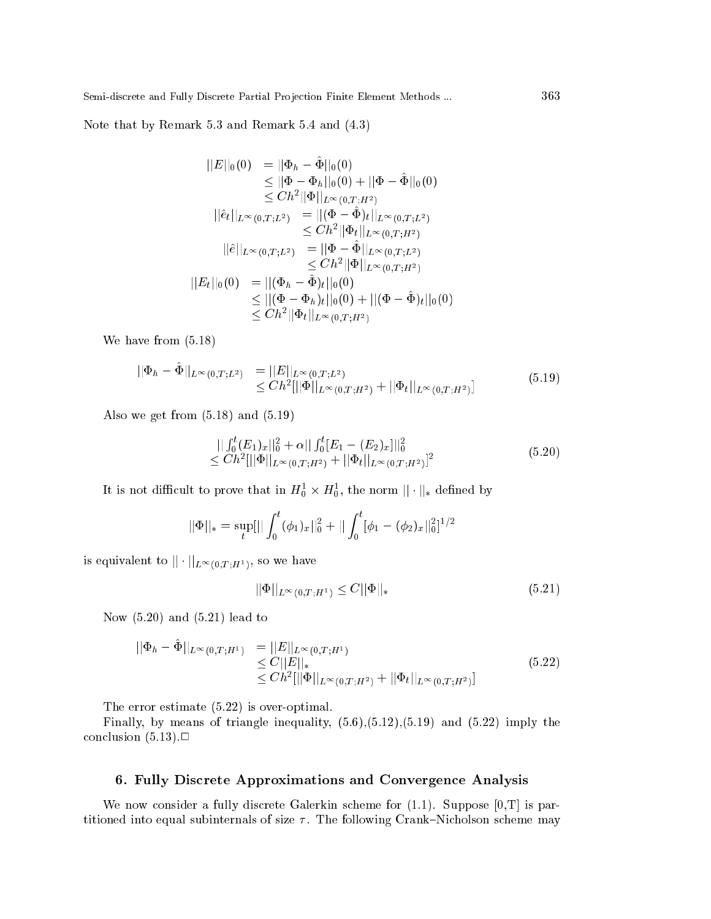Note that by Remark 5.3 and Remark 5.4 and (4.3)

$$
||E||_0(0) = ||\Phi_h - \hat{\Phi}||_0(0)
$$
  
\n
$$
\leq ||\Phi - \Phi_h||_0(0) + ||\Phi - \hat{\Phi}||_0(0)
$$
  
\n
$$
\leq Ch^2 ||\Phi||_{L^{\infty}(0,T;H^2)}
$$
  
\n
$$
||\hat{e}_t||_{L^{\infty}(0,T;L^2)} = ||(\Phi - \hat{\Phi})_t||_{L^{\infty}(0,T;L^2)}
$$
  
\n
$$
\leq Ch^2 ||\Phi_t||_{L^{\infty}(0,T;H^2)}
$$
  
\n
$$
||\hat{e}||_{L^{\infty}(0,T;L^2)} = ||\Phi - \hat{\Phi}||_{L^{\infty}(0,T;L^2)}
$$
  
\n
$$
\leq Ch^2 ||\Phi||_{L^{\infty}(0,T;H^2)}
$$
  
\n
$$
||E_t||_0(0) = ||(\Phi_h - \hat{\Phi})_t||_0(0)
$$
  
\n
$$
\leq ||(\Phi - \Phi_h)_t||_0(0) + ||(\Phi - \hat{\Phi})_t||_0(0)
$$
  
\n
$$
\leq Ch^2 ||\Phi_t||_{L^{\infty}(0,T;H^2)}
$$

We have from (5.18)

$$
\|\Phi_h - \Phi\|_{L^{\infty}(0,T;L^2)} = \|E\|_{L^{\infty}(0,T;L^2)}
$$
  
\n
$$
\leq Ch^2[\|\Phi\|_{L^{\infty}(0,T;H^2)} + \|\Phi_t\|_{L^{\infty}(0,T;H^2)}]
$$
\n(5.19)

Also we get from (5.18) and (5.19)

$$
\begin{aligned} &||\int_0^t (E_1)_x||_0^2 + \alpha ||\int_0^t [E_1 - (E_2)_x]||_0^2 \\ &\leq Ch^2[||\Phi||_{L^\infty(0,T;H^2)} + ||\Phi_t||_{L^\infty(0,T;H^2)}]^2 \end{aligned} \tag{5.20}
$$

It is not difficult to prove that in  $\pi_0 \times \pi_0$ , the norm  $||\cdot||_*$  defined by

$$
||\Phi||_* = \sup_t[||\int_0^t (\phi_1)_x||_0^2 + ||\int_0^t [\phi_1 - (\phi_2)_x||_0^2]^{1/2}
$$

is equivalent to  $|| \cdot ||_{L^{\infty}(0,T;H^1)}$ , so we have

$$
||\Phi||_{L^{\infty}(0,T;H^1)} \le C||\Phi||_*\tag{5.21}
$$

Now (5.20) and (5.21) lead to

$$
\|\Phi_h - \hat{\Phi}\|_{L^{\infty}(0,T;H^1)} = \|E\|_{L^{\infty}(0,T;H^1)} \n\leq C \|E\|_* \n\leq C h^2 [\|\Phi\|_{L^{\infty}(0,T;H^2)} + \|\Phi_t\|_{L^{\infty}(0,T;H^2)}]
$$
\n(5.22)

The error estimate (5.22) is over-optimal.

Finally, by means of triangle inequality,  $(5.6)$ , $(5.12)$ , $(5.19)$  and  $(5.22)$  imply the conclusion  $(5.13)$ .

### 6. Fully Dis
rete Approximations and Convergen
e Analysis

We now consider a fully discrete Galerkin scheme for  $(1.1)$ . Suppose  $[0,T]$  is partitioned into equal subinternals of size  $\tau$ . The following Crank–Nicholson scheme may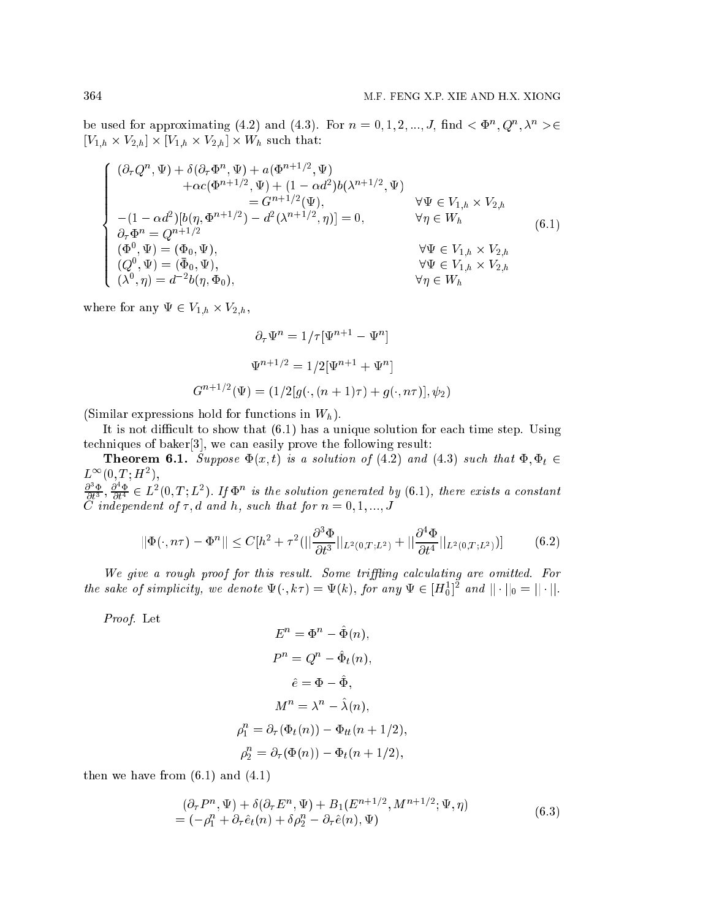be used for approximating (4.2) and (4.3). For  $n = 0, 1, 2, ..., J$ , find  $\langle \Phi^n, Q^n, \lambda^n \rangle \in$  $[V_{1,h} \times V_{2,h}] \times [V_{1,h} \times V_{2,h}] \times W_h$  such that:

$$
\begin{cases}\n(\partial_{\tau}Q^{n}, \Psi) + \delta(\partial_{\tau}\Phi^{n}, \Psi) + a(\Phi^{n+1/2}, \Psi) \\
+ \alpha c(\Phi^{n+1/2}, \Psi) + (1 - \alpha d^{2})b(\lambda^{n+1/2}, \Psi) \\
= G^{n+1/2}(\Psi), & \forall \Psi \in V_{1,h} \times V_{2,h} \\
-(1 - \alpha d^{2})[b(\eta, \Phi^{n+1/2}) - d^{2}(\lambda^{n+1/2}, \eta)] = 0, & \forall \eta \in W_{h} \\
\partial_{\tau}\Phi^{n} = Q^{n+1/2} \\
(\Phi^{0}, \Psi) = (\Phi_{0}, \Psi), & \forall \Psi \in V_{1,h} \times V_{2,h} \\
(Q^{0}, \Psi) = (\bar{\Phi}_{0}, \Psi), & \forall \Psi \in V_{1,h} \times V_{2,h} \\
(\lambda^{0}, \eta) = d^{-2}b(\eta, \Phi_{0}), & \forall \eta \in W_{h}\n\end{cases}
$$
\n(6.1)

where for any  $\Psi \in V_{1,h} \times V_{2,h}$ ,

$$
\partial_{\tau} \Psi^{n} = 1/\tau [\Psi^{n+1} - \Psi^{n}]
$$

$$
\Psi^{n+1/2} = 1/2[\Psi^{n+1} + \Psi^{n}]
$$

$$
G^{n+1/2}(\Psi) = (1/2[g(\cdot, (n+1)\tau) + g(\cdot, n\tau)], \psi_{2})
$$

(Similar expressions hold for functions in  $W_h$ ).

It is not difficult to show that  $(6.1)$  has a unique solution for each time step. Using techniques of baker<sup>[3]</sup>, we can easily prove the following result:

**Theorem 6.1.** Suppose  $\Phi(x,t)$  is a solution of (4.2) and (4.3) such that  $\Phi, \Phi_t \in$  $L^{\infty}(0,T;H^2),$ 

 $\frac{\partial^3 \Phi}{\partial t^3}$ ,  $\frac{\partial^4 \Phi}{\partial t^4}$   $\in L^2(0,T;L^2)$ . If  $\Phi^n$  is the solution generated by (6.1), there exists a constant C independent of  $\tau$ , d and h, such that for  $n = 0, 1, ..., J$ 

$$
||\Phi(\cdot, n\tau) - \Phi^n|| \le C[h^2 + \tau^2(||\frac{\partial^3 \Phi}{\partial t^3}||_{L^2(0,T;L^2)} + ||\frac{\partial^4 \Phi}{\partial t^4}||_{L^2(0,T;L^2)})]
$$
(6.2)

We give a rough proof for this result. Some triffling calculating are omitted. For the sake of simplicity, we denote  $\Psi(\cdot, k\tau) = \Psi(k)$ , for any  $\Psi \in [H_0^1]^2$  and  $||\cdot||_0 = ||\cdot||$ .

Proof. Let

$$
E^{n} = \Phi^{n} - \hat{\Phi}(n),
$$
  
\n
$$
P^{n} = Q^{n} - \hat{\Phi}_{t}(n),
$$
  
\n
$$
\hat{e} = \Phi - \hat{\Phi},
$$
  
\n
$$
M^{n} = \lambda^{n} - \hat{\lambda}(n),
$$
  
\n
$$
\rho_{1}^{n} = \partial_{\tau}(\Phi_{t}(n)) - \Phi_{t}(\eta + 1/2),
$$
  
\n
$$
\rho_{2}^{n} = \partial_{\tau}(\Phi(n)) - \Phi_{t}(\eta + 1/2),
$$

then we have from  $(6.1)$  and  $(4.1)$ 

$$
(\partial_{\tau}P^n, \Psi) + \delta(\partial_{\tau}E^n, \Psi) + B_1(E^{n+1/2}, M^{n+1/2}; \Psi, \eta)
$$
  
=  $(-\rho_1^n + \partial_{\tau}\hat{e}_t(n) + \delta\rho_2^n - \partial_{\tau}\hat{e}(n), \Psi)$  (6.3)

 $\overline{1}$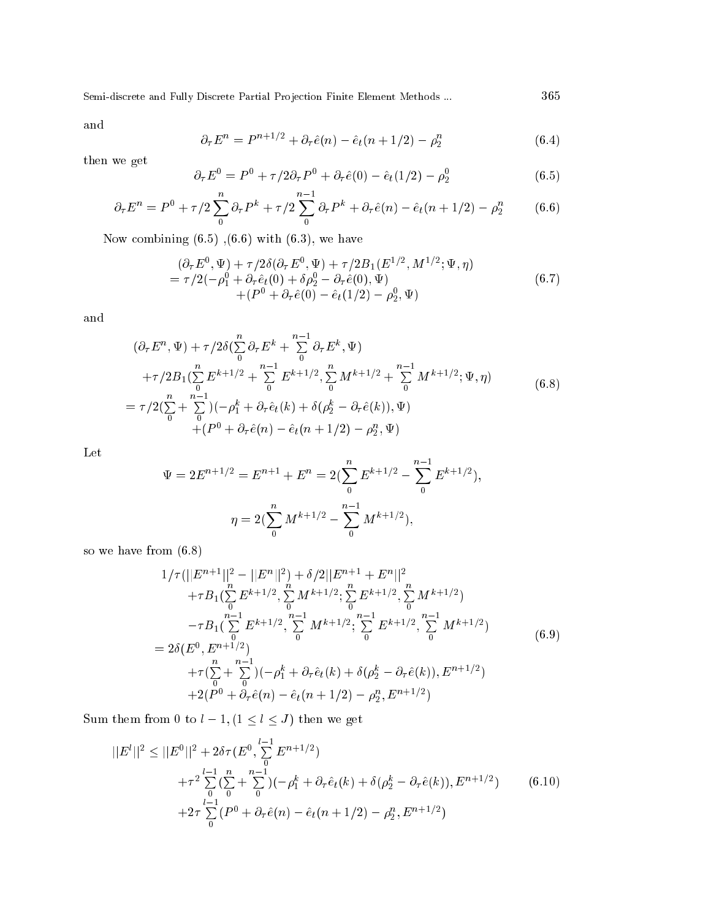and

$$
\partial_{\tau} E^{n} = P^{n+1/2} + \partial_{\tau} \hat{e}(n) - \hat{e}_{t}(n+1/2) - \rho_{2}^{n}
$$
\n(6.4)

then we get

$$
\partial_{\tau} E^{0} = P^{0} + \tau / 2 \partial_{\tau} P^{0} + \partial_{\tau} \hat{e}(0) - \hat{e}_{t} (1/2) - \rho_{2}^{0}
$$
(6.5)

$$
\partial_{\tau} E^{n} = P^{0} + \tau/2 \sum_{0}^{n} \partial_{\tau} P^{k} + \tau/2 \sum_{0}^{n-1} \partial_{\tau} P^{k} + \partial_{\tau} \hat{e}(n) - \hat{e}_{t}(n+1/2) - \rho_{2}^{n}
$$
 (6.6)

Now combining  $(6.5)$ ,  $(6.6)$  with  $(6.3)$ , we have

$$
(\partial_{\tau} E^{0}, \Psi) + \tau/2\delta(\partial_{\tau} E^{0}, \Psi) + \tau/2B_{1}(E^{1/2}, M^{1/2}; \Psi, \eta) = \tau/2(-\rho_{1}^{0} + \partial_{\tau}\hat{e}_{t}(0) + \delta\rho_{2}^{0} - \partial_{\tau}\hat{e}(0), \Psi) + (P^{0} + \partial_{\tau}\hat{e}(0) - \hat{e}_{t}(1/2) - \rho_{2}^{0}, \Psi)
$$
\n(6.7)

and

$$
(\partial_{\tau} E^{n}, \Psi) + \tau/2 \delta (\sum_{0}^{n} \partial_{\tau} E^{k} + \sum_{0}^{n-1} \partial_{\tau} E^{k}, \Psi) + \tau/2 B_{1} (\sum_{0}^{n} E^{k+1/2} + \sum_{0}^{n-1} E^{k+1/2}, \sum_{0}^{n} M^{k+1/2} + \sum_{0}^{n-1} M^{k+1/2}; \Psi, \eta) = \tau/2 (\sum_{0}^{n} + \sum_{0}^{n-1}) (-\rho_{1}^{k} + \partial_{\tau} \hat{e}_{t}(k) + \delta (\rho_{2}^{k} - \partial_{\tau} \hat{e}(k)), \Psi) + (P^{0} + \partial_{\tau} \hat{e}(n) - \hat{e}_{t}(n + 1/2) - \rho_{2}^{n}, \Psi)
$$
(6.8)

Let

$$
\Psi = 2E^{n+1/2} = E^{n+1} + E^n = 2\left(\sum_{0}^{n} E^{k+1/2} - \sum_{0}^{n-1} E^{k+1/2}\right),
$$

$$
\eta = 2\left(\sum_{0}^{n} M^{k+1/2} - \sum_{0}^{n-1} M^{k+1/2}\right),
$$

so we have from (6.8)

$$
1/\tau(||E^{n+1}||^2 - ||E^n||^2) + \delta/2||E^{n+1} + E^n||^2
$$
  
+ $\tau B_1(\sum_{0}^{n} E^{k+1/2}, \sum_{0}^{n} M^{k+1/2}; \sum_{0}^{n} E^{k+1/2}, \sum_{0}^{n} M^{k+1/2})$   
- $\tau B_1(\sum_{0}^{n-1} E^{k+1/2}, \sum_{0}^{n-1} M^{k+1/2}; \sum_{0}^{n-1} E^{k+1/2}, \sum_{0}^{n-1} M^{k+1/2})$   
=  $2\delta(E^0, E^{n+1/2})$   
+ $\tau(\sum_{0}^{n} + \sum_{0}^{n-1})(-\rho_1^k + \partial_\tau \hat{e}_t(k) + \delta(\rho_2^k - \partial_\tau \hat{e}(k)), E^{n+1/2})$   
+ $2(P^0 + \partial_\tau \hat{e}(n) - \hat{e}_t(n + 1/2) - \rho_2^n, E^{n+1/2})$  (6.9)

Sum them from 0 to  $l-1, (1 \leq l \leq J)$  then we get

$$
||E^{l}||^{2} \leq ||E^{0}||^{2} + 2\delta\tau(E^{0}, \sum_{0}^{l-1} E^{n+1/2})
$$
  
+ $\tau^{2} \sum_{0}^{l-1} (\sum_{0}^{n} + \sum_{0}^{n-1}) (-\rho_{1}^{k} + \partial_{\tau} \hat{e}_{t}(k) + \delta(\rho_{2}^{k} - \partial_{\tau} \hat{e}(k)), E^{n+1/2})$  (6.10)  
+ $2\tau \sum_{0}^{l-1} (P^{0} + \partial_{\tau} \hat{e}(n) - \hat{e}_{t}(n+1/2) - \rho_{2}^{n}, E^{n+1/2})$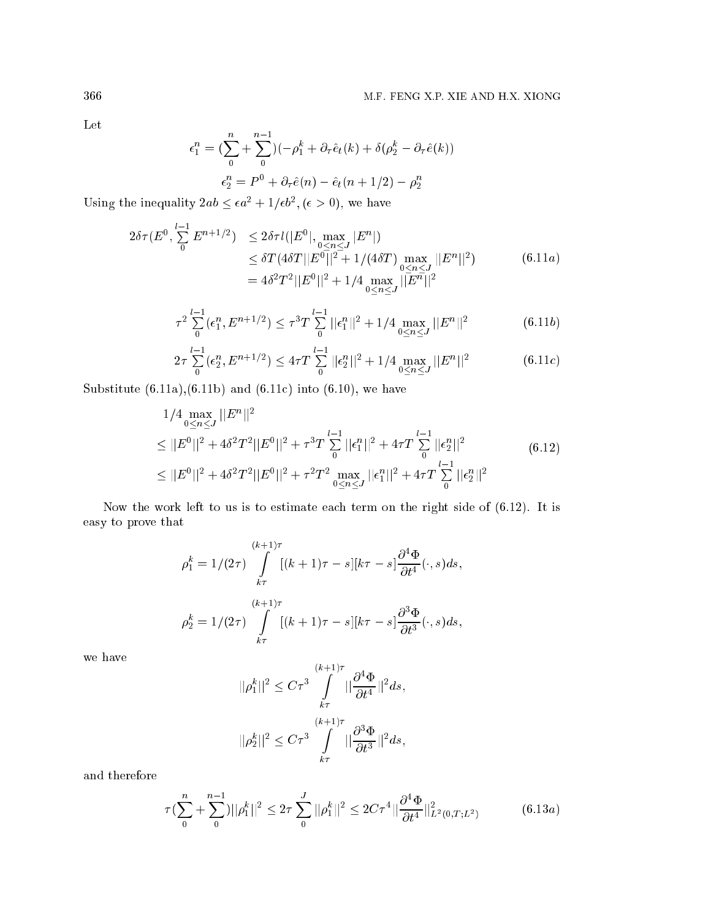Let

$$
\epsilon_1^n = \left(\sum_0^n + \sum_0^{n-1}\right)(-\rho_1^k + \partial_\tau \hat{e}_t(k) + \delta(\rho_2^k - \partial_\tau \hat{e}(k))
$$

$$
\epsilon_2^n = P^0 + \partial_\tau \hat{e}(n) - \hat{e}_t(n+1/2) - \rho_2^n
$$

Using the inequality  $2ab \leq \epsilon a^2 + 1/\epsilon b^2$ ,  $(\epsilon > 0)$ , we have

$$
2\delta\tau(E^0, \sum_{0}^{l-1} E^{n+1/2}) \le 2\delta\tau l(|E^0|, \max_{0 \le n \le J} |E^n|)
$$
  
\n
$$
\le \delta T(4\delta T ||E^0||^2 + 1/(4\delta T) \max_{0 \le n \le J} ||E^n||^2)
$$
  
\n
$$
= 4\delta^2 T^2 ||E^0||^2 + 1/4 \max_{0 \le n \le J} ||E^n||^2
$$
\n(6.11*a*)

$$
\tau^2 \sum_{0}^{l-1} (\epsilon_1^n, E^{n+1/2}) \le \tau^3 T \sum_{0}^{l-1} ||\epsilon_1^n||^2 + 1/4 \max_{0 \le n \le J} ||E^n||^2 \tag{6.11b}
$$

$$
2\tau \sum_{0}^{l-1} (\epsilon_2^n, E^{n+1/2}) \le 4\tau T \sum_{0}^{l-1} ||\epsilon_2^n||^2 + 1/4 \max_{0 \le n \le J} ||E^n||^2 \tag{6.11c}
$$

Substitute  $(6.11a)$ , $(6.11b)$  and  $(6.11c)$  into  $(6.10)$ , we have

$$
1/4 \max_{0 \le n \le J} ||E^n||^2
$$
  
\n
$$
\le ||E^0||^2 + 4\delta^2 T^2 ||E^0||^2 + \tau^3 T \sum_{0}^{l-1} ||\epsilon_1^n||^2 + 4\tau T \sum_{0}^{l-1} ||\epsilon_2^n||^2
$$
  
\n
$$
\le ||E^0||^2 + 4\delta^2 T^2 ||E^0||^2 + \tau^2 T^2 \max_{0 \le n \le J} ||\epsilon_1^n||^2 + 4\tau T \sum_{0}^{l-1} ||\epsilon_2^n||^2
$$
\n(6.12)

Now the work left to us is to estimate ea
h term on the right side of (6.12). It is easy to prove that

$$
\rho_1^k = 1/(2\tau) \int\limits_{k\tau}^{(k+1)\tau} [(k+1)\tau - s][k\tau - s] \frac{\partial^4 \Phi}{\partial t^4}(\cdot, s) ds,
$$
  

$$
\rho_2^k = 1/(2\tau) \int\limits_{k\tau}^{(k+1)\tau} [(k+1)\tau - s][k\tau - s] \frac{\partial^3 \Phi}{\partial t^3}(\cdot, s) ds,
$$

we have

$$
||\rho_1^k||^2 \leq C\tau^3\int\limits_{k\tau}^{(k+1)\tau}||\frac{\partial^4 \Phi}{\partial t^4}||^2ds,\\ ||\rho_2^k||^2 \leq C\tau^3\int\limits_{k\tau}^{(k+1)\tau}||\frac{\partial^3 \Phi}{\partial t^3}||^2ds,
$$

and therefore

$$
\tau \left( \sum_{0}^{n} + \sum_{0}^{n-1} \right) ||\rho_{1}^{k}||^{2} \leq 2\tau \sum_{0}^{J} ||\rho_{1}^{k}||^{2} \leq 2C\tau^{4} ||\frac{\partial^{4} \Phi}{\partial t^{4}}||_{L^{2}(0,T;L^{2})}^{2}
$$
(6.13*a*)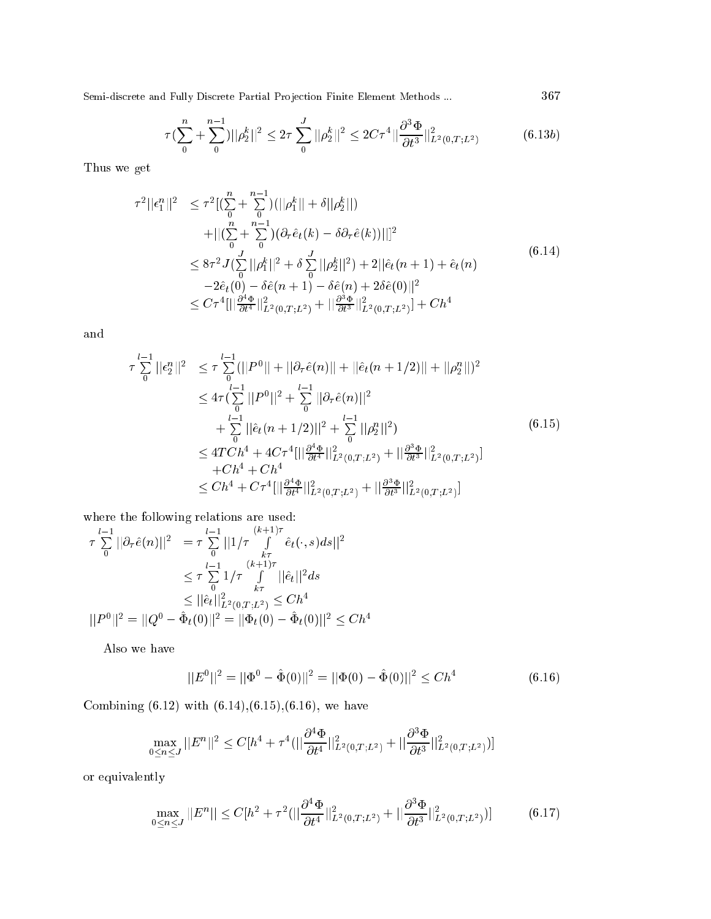$$
\tau \left( \sum_{0}^{n} + \sum_{0}^{n-1} \right) ||\rho_{2}^{k}||^{2} \leq 2\tau \sum_{0}^{J} ||\rho_{2}^{k}||^{2} \leq 2C\tau^{4} ||\frac{\partial^{3} \Phi}{\partial t^{3}}||_{L^{2}(0,T;L^{2})}^{2}
$$
(6.13b)

Thus we get

$$
\tau^{2}||\epsilon_{1}^{n}||^{2} \leq \tau^{2}[(\sum_{0}^{n} + \sum_{0}^{n-1})(||\rho_{1}^{k}|| + \delta||\rho_{2}^{k}||)\n+ ||(\sum_{0}^{n} + \sum_{0}^{n-1})(\partial_{\tau}\hat{e}_{t}(k) - \delta\partial_{\tau}\hat{e}(k))||]^{2}\n\leq 8\tau^{2}J(\sum_{0}^{J}||\rho_{1}^{k}||^{2} + \delta\sum_{0}^{J}||\rho_{2}^{k}||^{2}) + 2||\hat{e}_{t}(n+1) + \hat{e}_{t}(n)\n-2\hat{e}_{t}(0) - \delta\hat{e}(n+1) - \delta\hat{e}(n) + 2\delta\hat{e}(0)||^{2}\n\leq C\tau^{4}[||\frac{\partial^{4}\Phi}{\partial t^{4}}||_{L^{2}(0,T;L^{2})}^{2} + ||\frac{\partial^{3}\Phi}{\partial t^{3}}||_{L^{2}(0,T;L^{2})}^{2}] + Ch^{4}
$$
\n(6.14)

and

$$
\tau \sum_{0}^{l-1} ||\epsilon_{2}^{n}||^{2} \leq \tau \sum_{0}^{l-1} (||P^{0}|| + ||\partial_{\tau}\hat{e}(n)|| + ||\hat{e}_{t}(n+1/2)|| + ||\rho_{2}^{n}||)^{2}
$$
  
\n
$$
\leq 4\tau \Big(\sum_{0}^{l-1} ||P^{0}||^{2} + \sum_{0}^{l-1} ||\partial_{\tau}\hat{e}(n)||^{2}
$$
  
\n
$$
+ \sum_{0}^{l-1} ||\hat{e}_{t}(n+1/2)||^{2} + \sum_{0}^{l-1} ||\rho_{2}^{n}||^{2}\Big) \tag{6.15}
$$
  
\n
$$
\leq 4TCh^{4} + 4C\tau^{4} [||\frac{\partial^{4}\Phi}{\partial t^{4}}||^{2}_{L^{2}(0,T;L^{2})} + ||\frac{\partial^{3}\Phi}{\partial t^{3}}||^{2}_{L^{2}(0,T;L^{2})}]
$$
  
\n
$$
+ Ch^{4} + Ch^{4}
$$
  
\n
$$
\leq Ch^{4} + C\tau^{4} [||\frac{\partial^{4}\Phi}{\partial t^{4}}||^{2}_{L^{2}(0,T;L^{2})} + ||\frac{\partial^{3}\Phi}{\partial t^{3}}||^{2}_{L^{2}(0,T;L^{2})}]
$$

where the following relations are used:

$$
\tau \sum_{0}^{l-1} ||\partial_{\tau} \hat{e}(n)||^{2} = \tau \sum_{0}^{l-1} ||1/\tau \int_{k\tau}^{(k+1)\tau} \hat{e}_{t}(\cdot, s) ds||^{2}
$$

$$
\leq \tau \sum_{0}^{l-1} 1/\tau \int_{k\tau}^{(k+1)\tau} ||\hat{e}_{t}||^{2} ds
$$

$$
\leq ||\hat{e}_{t}||_{L^{2}(0,T;L^{2})}^{2} \leq Ch^{4}
$$

$$
||P^{0}||^{2} = ||Q^{0} - \hat{\Phi}_{t}(0)||^{2} = ||\Phi_{t}(0) - \hat{\Phi}_{t}(0)||^{2} \leq Ch^{4}
$$

Also we have

$$
||E^{0}||^{2} = ||\Phi^{0} - \hat{\Phi}(0)||^{2} = ||\Phi(0) - \hat{\Phi}(0)||^{2} \leq Ch^{4}
$$
\n(6.16)

Combining  $(6.12)$  with  $(6.14),(6.15),(6.16)$ , we have

$$
\max_{0 \le n \le J} ||E^n||^2 \le C[h^4 + \tau^4(||\frac{\partial^4 \Phi}{\partial t^4}||_{L^2(0,T;L^2)}^2 + ||\frac{\partial^3 \Phi}{\partial t^3}||_{L^2(0,T;L^2)}^2)]
$$

or equivalently

$$
\max_{0 \le n \le J} ||E^n|| \le C[h^2 + \tau^2(||\frac{\partial^4 \Phi}{\partial t^4}||_{L^2(0,T;L^2)}^2 + ||\frac{\partial^3 \Phi}{\partial t^3}||_{L^2(0,T;L^2)}^2)]\tag{6.17}
$$